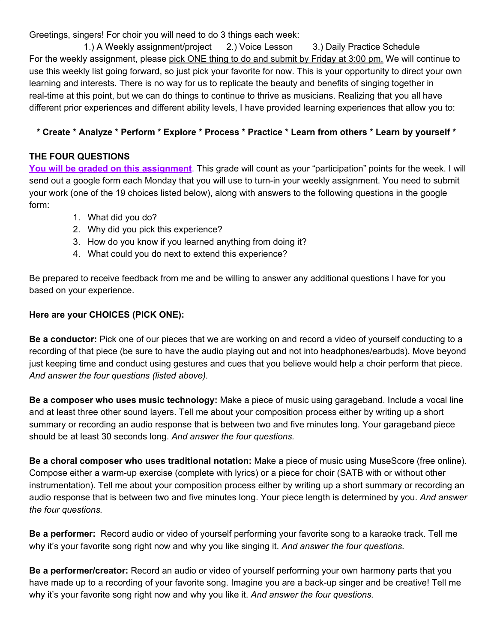Greetings, singers! For choir you will need to do 3 things each week:

1.) A Weekly assignment/project 2.) Voice Lesson 3.) Daily Practice Schedule For the weekly assignment, please pick ONE thing to do and submit by Friday at 3:00 pm. We will continue to use this weekly list going forward, so just pick your favorite for now. This is your opportunity to direct your own learning and interests. There is no way for us to replicate the beauty and benefits of singing together in real-time at this point, but we can do things to continue to thrive as musicians. Realizing that you all have different prior experiences and different ability levels, I have provided learning experiences that allow you to:

## \* Create \* Analyze \* Perform \* Explore \* Process \* Practice \* Learn from others \* Learn by yourself \*

## **THE FOUR QUESTIONS**

**You will be graded on this assignment**. This grade will count as your "participation" points for the week. I will send out a google form each Monday that you will use to turn-in your weekly assignment. You need to submit your work (one of the 19 choices listed below), along with answers to the following questions in the google form:

- 1. What did you do?
- 2. Why did you pick this experience?
- 3. How do you know if you learned anything from doing it?
- 4. What could you do next to extend this experience?

Be prepared to receive feedback from me and be willing to answer any additional questions I have for you based on your experience.

## **Here are your CHOICES (PICK ONE):**

**Be a conductor:** Pick one of our pieces that we are working on and record a video of yourself conducting to a recording of that piece (be sure to have the audio playing out and not into headphones/earbuds). Move beyond just keeping time and conduct using gestures and cues that you believe would help a choir perform that piece. *And answer the four questions (listed above).*

**Be a composer who uses music technology:** Make a piece of music using garageband. Include a vocal line and at least three other sound layers. Tell me about your composition process either by writing up a short summary or recording an audio response that is between two and five minutes long. Your garageband piece should be at least 30 seconds long. *And answer the four questions.*

**Be a choral composer who uses traditional notation:** Make a piece of music using MuseScore (free online). Compose either a warm-up exercise (complete with lyrics) or a piece for choir (SATB with or without other instrumentation). Tell me about your composition process either by writing up a short summary or recording an audio response that is between two and five minutes long. Your piece length is determined by you. *And answer the four questions.*

**Be a performer:** Record audio or video of yourself performing your favorite song to a karaoke track. Tell me why it's your favorite song right now and why you like singing it. *And answer the four questions.*

**Be a performer/creator:** Record an audio or video of yourself performing your own harmony parts that you have made up to a recording of your favorite song. Imagine you are a back-up singer and be creative! Tell me why it's your favorite song right now and why you like it. *And answer the four questions.*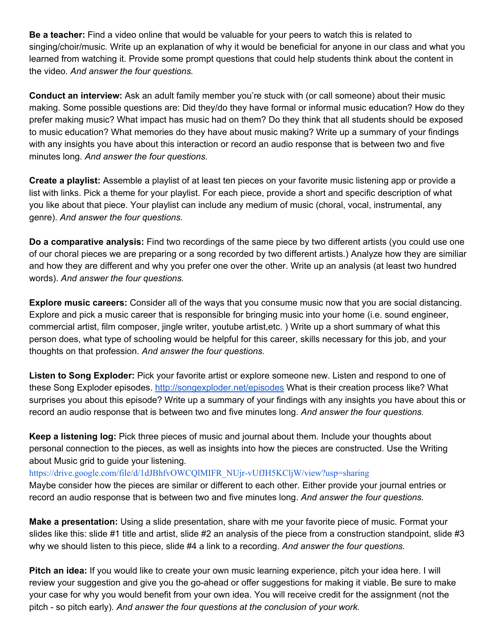**Be a teacher:** Find a video online that would be valuable for your peers to watch this is related to singing/choir/music. Write up an explanation of why it would be beneficial for anyone in our class and what you learned from watching it. Provide some prompt questions that could help students think about the content in the video. *And answer the four questions.*

**Conduct an interview:** Ask an adult family member you're stuck with (or call someone) about their music making. Some possible questions are: Did they/do they have formal or informal music education? How do they prefer making music? What impact has music had on them? Do they think that all students should be exposed to music education? What memories do they have about music making? Write up a summary of your findings with any insights you have about this interaction or record an audio response that is between two and five minutes long. *And answer the four questions.*

**Create a playlist:** Assemble a playlist of at least ten pieces on your favorite music listening app or provide a list with links. Pick a theme for your playlist. For each piece, provide a short and specific description of what you like about that piece. Your playlist can include any medium of music (choral, vocal, instrumental, any genre). *And answer the four questions.*

**Do a comparative analysis:** Find two recordings of the same piece by two different artists (you could use one of our choral pieces we are preparing or a song recorded by two different artists.) Analyze how they are similiar and how they are different and why you prefer one over the other. Write up an analysis (at least two hundred words). *And answer the four questions.*

**Explore music careers:** Consider all of the ways that you consume music now that you are social distancing. Explore and pick a music career that is responsible for bringing music into your home (i.e. sound engineer, commercial artist, film composer, jingle writer, youtube artist,etc. ) Write up a short summary of what this person does, what type of schooling would be helpful for this career, skills necessary for this job, and your thoughts on that profession. *And answer the four questions.*

**Listen to Song Exploder:** Pick your favorite artist or explore someone new. Listen and respond to one of these Song Exploder episodes. <http://songexploder.net/episodes> What is their creation process like? What surprises you about this episode? Write up a summary of your findings with any insights you have about this or record an audio response that is between two and five minutes long. *And answer the four questions.*

**Keep a listening log:** Pick three pieces of music and journal about them. Include your thoughts about personal connection to the pieces, as well as insights into how the pieces are constructed. Use the Writing about Music grid to guide your listening.

## [https://drive.google.com/file/d/1dJBhfvOWCQlMIFR\\_NUjr-vUfJH5KCljW/view?usp=sharing](https://drive.google.com/file/d/1dJBhfvOWCQlMIFR_NUjr-vUfJH5KCljW/view?usp=sharing)

Maybe consider how the pieces are similar or different to each other. Either provide your journal entries or record an audio response that is between two and five minutes long. *And answer the four questions.*

**Make a presentation:** Using a slide presentation, share with me your favorite piece of music. Format your slides like this: slide #1 title and artist, slide #2 an analysis of the piece from a construction standpoint, slide #3 why we should listen to this piece, slide #4 a link to a recording. *And answer the four questions.*

**Pitch an idea:** If you would like to create your own music learning experience, pitch your idea here. I will review your suggestion and give you the go-ahead or offer suggestions for making it viable. Be sure to make your case for why you would benefit from your own idea. You will receive credit for the assignment (not the pitch - so pitch early). *And answer the four questions at the conclusion of your work.*